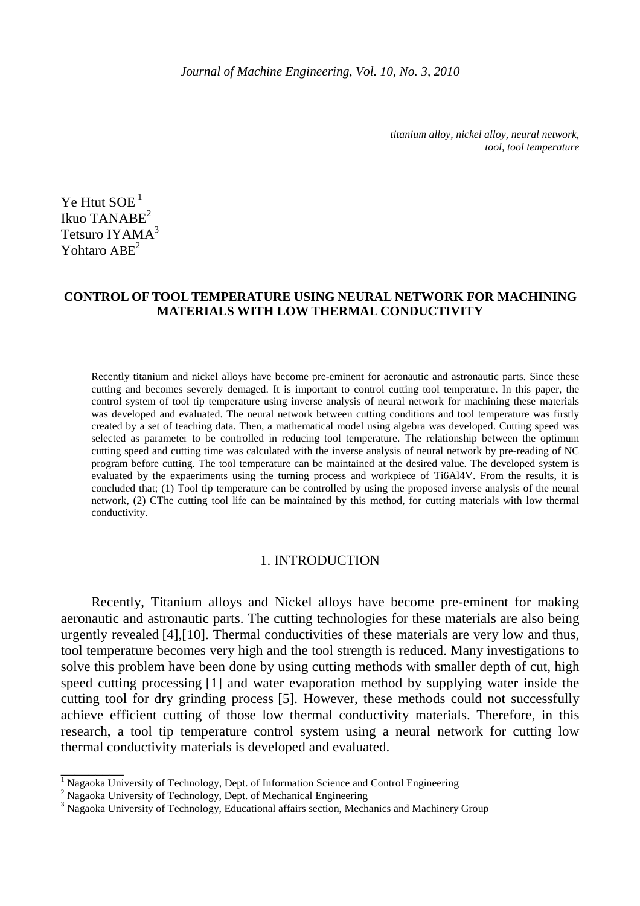*titanium alloy, nickel alloy, neural network, tool, tool temperature* 

Ye Htut  $SOE<sup>1</sup>$ Ikuo TANAB $E^2$ Tetsuro IYAMA<sup>3</sup> Yohtaro ABE<sup>2</sup>

# **CONTROL OF TOOL TEMPERATURE USING NEURAL NETWORK FOR MACHINING MATERIALS WITH LOW THERMAL CONDUCTIVITY**

Recently titanium and nickel alloys have become pre-eminent for aeronautic and astronautic parts. Since these cutting and becomes severely demaged. It is important to control cutting tool temperature. In this paper, the control system of tool tip temperature using inverse analysis of neural network for machining these materials was developed and evaluated. The neural network between cutting conditions and tool temperature was firstly created by a set of teaching data. Then, a mathematical model using algebra was developed. Cutting speed was selected as parameter to be controlled in reducing tool temperature. The relationship between the optimum cutting speed and cutting time was calculated with the inverse analysis of neural network by pre-reading of NC program before cutting. The tool temperature can be maintained at the desired value. The developed system is evaluated by the expaeriments using the turning process and workpiece of Ti6Al4V. From the results, it is concluded that; (1) Tool tip temperature can be controlled by using the proposed inverse analysis of the neural network, (2) CThe cutting tool life can be maintained by this method, for cutting materials with low thermal conductivity.

# 1. INTRODUCTION

Recently, Titanium alloys and Nickel alloys have become pre-eminent for making aeronautic and astronautic parts. The cutting technologies for these materials are also being urgently revealed [4],[10]. Thermal conductivities of these materials are very low and thus, tool temperature becomes very high and the tool strength is reduced. Many investigations to solve this problem have been done by using cutting methods with smaller depth of cut, high speed cutting processing [1] and water evaporation method by supplying water inside the cutting tool for dry grinding process [5]. However, these methods could not successfully achieve efficient cutting of those low thermal conductivity materials. Therefore, in this research, a tool tip temperature control system using a neural network for cutting low thermal conductivity materials is developed and evaluated.

<sup>1&</sup>lt;br><sup>1</sup> Nagaoka University of Technology, Dept. of Information Science and Control Engineering

 $2$  Nagaoka University of Technology, Dept. of Mechanical Engineering

<sup>&</sup>lt;sup>3</sup> Nagaoka University of Technology, Educational affairs section, Mechanics and Machinery Group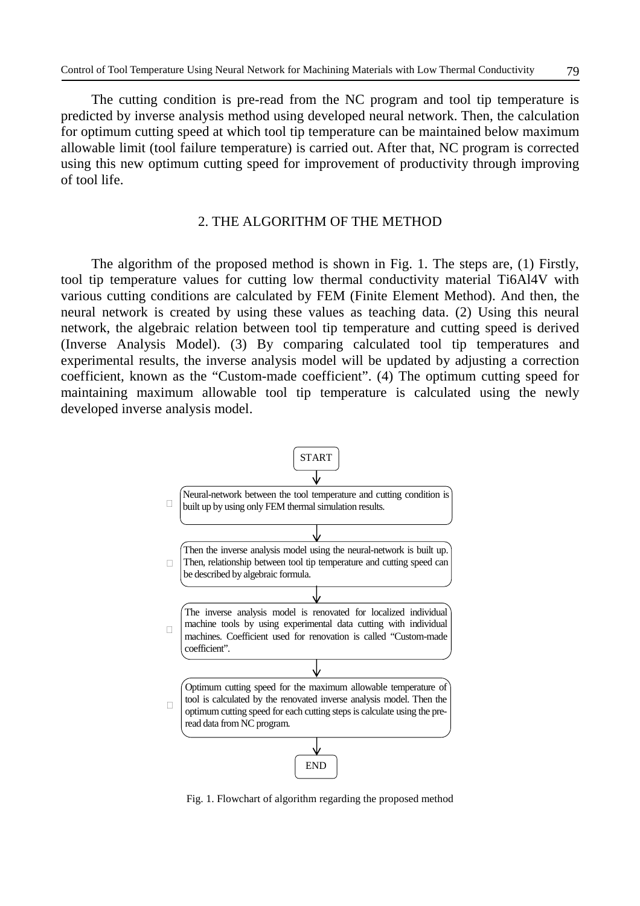The cutting condition is pre-read from the NC program and tool tip temperature is predicted by inverse analysis method using developed neural network. Then, the calculation for optimum cutting speed at which tool tip temperature can be maintained below maximum allowable limit (tool failure temperature) is carried out. After that, NC program is corrected using this new optimum cutting speed for improvement of productivity through improving of tool life.

# 2. THE ALGORITHM OF THE METHOD

The algorithm of the proposed method is shown in Fig. 1. The steps are, (1) Firstly, tool tip temperature values for cutting low thermal conductivity material Ti6Al4V with various cutting conditions are calculated by FEM (Finite Element Method). And then, the neural network is created by using these values as teaching data. (2) Using this neural network, the algebraic relation between tool tip temperature and cutting speed is derived (Inverse Analysis Model). (3) By comparing calculated tool tip temperatures and experimental results, the inverse analysis model will be updated by adjusting a correction coefficient, known as the "Custom-made coefficient". (4) The optimum cutting speed for maintaining maximum allowable tool tip temperature is calculated using the newly developed inverse analysis model.



Fig. 1. Flowchart of algorithm regarding the proposed method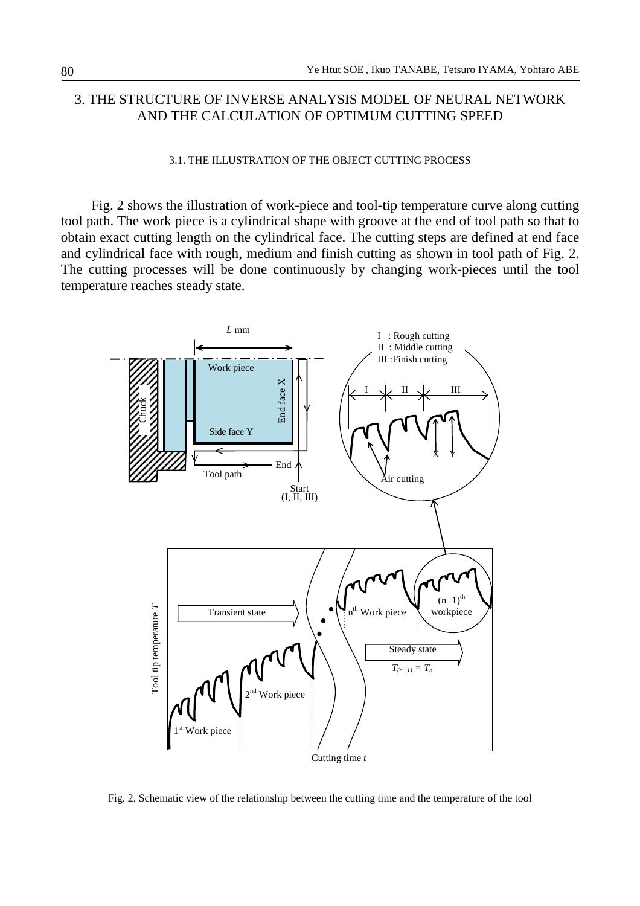# 3. THE STRUCTURE OF INVERSE ANALYSIS MODEL OF NEURAL NETWORK AND THE CALCULATION OF OPTIMUM CUTTING SPEED

### 3.1. THE ILLUSTRATION OF THE OBJECT CUTTING PROCESS

Fig. 2 shows the illustration of work-piece and tool-tip temperature curve along cutting tool path. The work piece is a cylindrical shape with groove at the end of tool path so that to obtain exact cutting length on the cylindrical face. The cutting steps are defined at end face and cylindrical face with rough, medium and finish cutting as shown in tool path of Fig. 2. The cutting processes will be done continuously by changing work-pieces until the tool temperature reaches steady state.



Fig. 2. Schematic view of the relationship between the cutting time and the temperature of the tool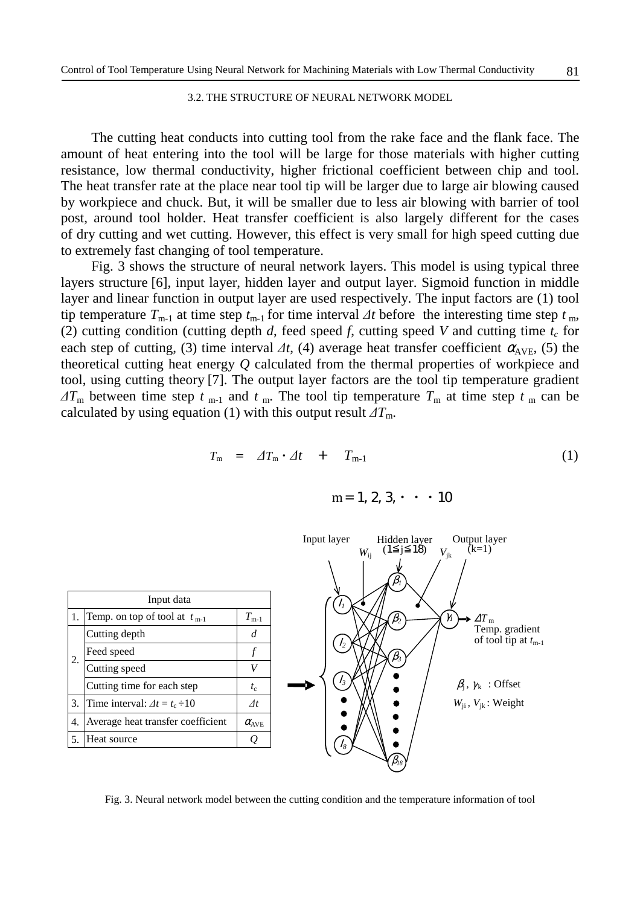#### 3.2. THE STRUCTURE OF NEURAL NETWORK MODEL

The cutting heat conducts into cutting tool from the rake face and the flank face. The amount of heat entering into the tool will be large for those materials with higher cutting resistance, low thermal conductivity, higher frictional coefficient between chip and tool. The heat transfer rate at the place near tool tip will be larger due to large air blowing caused by workpiece and chuck. But, it will be smaller due to less air blowing with barrier of tool post, around tool holder. Heat transfer coefficient is also largely different for the cases of dry cutting and wet cutting. However, this effect is very small for high speed cutting due to extremely fast changing of tool temperature.

Fig. 3 shows the structure of neural network layers. This model is using typical three layers structure [6], input layer, hidden layer and output layer. Sigmoid function in middle layer and linear function in output layer are used respectively. The input factors are (1) tool tip temperature  $T_{m-1}$  at time step  $t_{m-1}$  for time interval  $\Delta t$  before the interesting time step  $t_m$ , (2) cutting condition (cutting depth *d*, feed speed *f*, cutting speed *V* and cutting time  $t_c$  for each step of cutting, (3) time interval  $\Delta t$ , (4) average heat transfer coefficient  $\alpha_{AVE}$ , (5) the theoretical cutting heat energy *Q* calculated from the thermal properties of workpiece and tool, using cutting theory [7]. The output layer factors are the tool tip temperature gradient  $\Delta T_{\rm m}$  between time step *t* <sub>m-1</sub> and *t* <sub>m</sub>. The tool tip temperature  $T_{\rm m}$  at time step *t* <sub>m</sub> can be calculated by using equation (1) with this output result  $\Delta T_{\text{m}}$ .

$$
T_{\rm m} = \Delta T_{\rm m} \cdot \Delta t + T_{\rm m-1} \tag{1}
$$

 $m=1, 2, 3, \cdot \cdot \cdot 10$ 



Fig. 3. Neural network model between the cutting condition and the temperature information of tool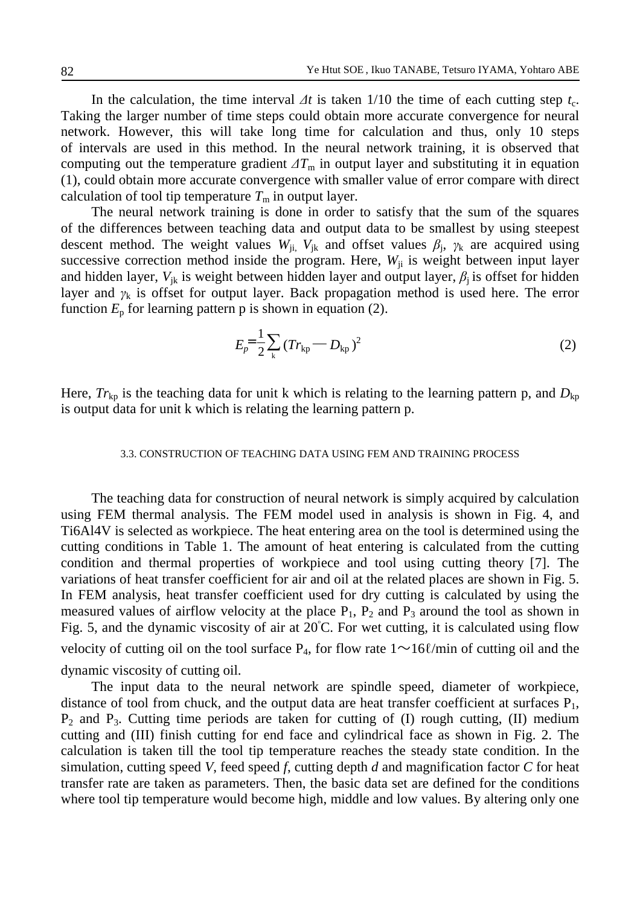In the calculation, the time interval  $\Delta t$  is taken 1/10 the time of each cutting step  $t_c$ . Taking the larger number of time steps could obtain more accurate convergence for neural network. However, this will take long time for calculation and thus, only 10 steps of intervals are used in this method. In the neural network training, it is observed that computing out the temperature gradient  $\Delta T_m$  in output layer and substituting it in equation (1), could obtain more accurate convergence with smaller value of error compare with direct calculation of tool tip temperature  $T<sub>m</sub>$  in output layer.

The neural network training is done in order to satisfy that the sum of the squares of the differences between teaching data and output data to be smallest by using steepest descent method. The weight values  $W_{ji}$ ,  $V_{jk}$  and offset values  $\beta_j$ ,  $\gamma_k$  are acquired using successive correction method inside the program. Here,  $W_{ii}$  is weight between input layer and hidden layer,  $V_{jk}$  is weight between hidden layer and output layer,  $\beta_i$  is offset for hidden layer and  $\gamma_k$  is offset for output layer. Back propagation method is used here. The error function  $E_p$  for learning pattern p is shown in equation (2).

$$
E_p = \frac{1}{2} \sum_{k} \left( Tr_{kp} - D_{kp} \right)^2 \tag{2}
$$

Here,  $Tr_{kp}$  is the teaching data for unit k which is relating to the learning pattern p, and  $D_{kp}$ is output data for unit k which is relating the learning pattern p.

### 3.3. CONSTRUCTION OF TEACHING DATA USING FEM AND TRAINING PROCESS

The teaching data for construction of neural network is simply acquired by calculation using FEM thermal analysis. The FEM model used in analysis is shown in Fig. 4, and Ti6Al4V is selected as workpiece. The heat entering area on the tool is determined using the cutting conditions in Table 1. The amount of heat entering is calculated from the cutting condition and thermal properties of workpiece and tool using cutting theory [7]. The variations of heat transfer coefficient for air and oil at the related places are shown in Fig. 5. In FEM analysis, heat transfer coefficient used for dry cutting is calculated by using the measured values of airflow velocity at the place  $P_1$ ,  $P_2$  and  $P_3$  around the tool as shown in Fig. 5, and the dynamic viscosity of air at  $20^{\circ}$ C. For wet cutting, it is calculated using flow velocity of cutting oil on the tool surface  $P_4$ , for flow rate  $1 \sim 16$ *l*/min of cutting oil and the dynamic viscosity of cutting oil.

The input data to the neural network are spindle speed, diameter of workpiece, distance of tool from chuck, and the output data are heat transfer coefficient at surfaces  $P_1$ ,  $P_2$  and  $P_3$ . Cutting time periods are taken for cutting of (I) rough cutting, (II) medium cutting and (III) finish cutting for end face and cylindrical face as shown in Fig. 2. The calculation is taken till the tool tip temperature reaches the steady state condition. In the simulation, cutting speed *V*, feed speed *f*, cutting depth *d* and magnification factor *C* for heat transfer rate are taken as parameters. Then, the basic data set are defined for the conditions where tool tip temperature would become high, middle and low values. By altering only one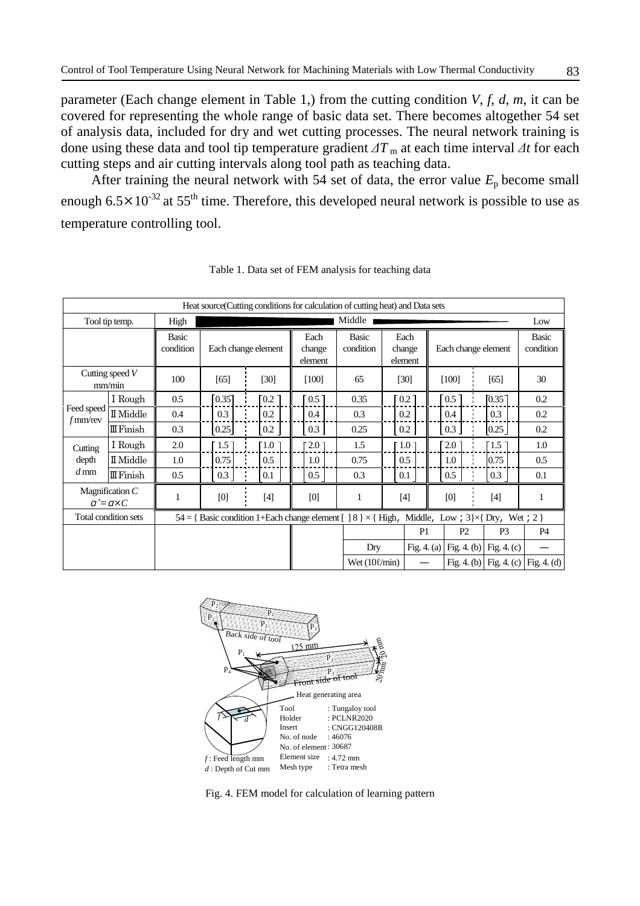parameter (Each change element in Table 1,) from the cutting condition  $V, f, d, m$ , it can be covered for representing the whole range of basic data set. There becomes altogether 54 set of analysis data, included for dry and wet cutting processes. The neural network training is done using these data and tool tip temperature gradient ∆*T* <sup>m</sup> at each time interval ∆*t* for each cutting steps and air cutting intervals along tool path as teaching data.

After training the neural network with 54 set of data, the error value  $E_p$  become small enough  $6.5 \times 10^{-32}$  at  $55^{th}$  time. Therefore, this developed neural network is possible to use as temperature controlling tool.

| Heat source (Cutting conditions for calculation of cutting heat) and Data sets |                               |                                                                                                                     |                     |                  |                           |                           |                           |                    |                     |                     |                           |
|--------------------------------------------------------------------------------|-------------------------------|---------------------------------------------------------------------------------------------------------------------|---------------------|------------------|---------------------------|---------------------------|---------------------------|--------------------|---------------------|---------------------|---------------------------|
| Tool tip temp.                                                                 |                               | High                                                                                                                | Middle              |                  |                           |                           |                           |                    |                     |                     | Low                       |
|                                                                                |                               | Basic<br>condition                                                                                                  | Each change element |                  | Each<br>change<br>element | <b>Basic</b><br>condition | Each<br>change<br>element |                    | Each change element |                     | <b>Basic</b><br>condition |
| Cutting speed $V$<br>mm/min                                                    |                               | 100                                                                                                                 | [65]                | [30]             | $[100]$                   | 65                        |                           | [30]               | [100]               | [65]                | 30                        |
|                                                                                | I Rough                       | 0.5                                                                                                                 | [0.35]              | 0.2              | $0.5 \,$ ]                | 0.35                      |                           | 0.2                | $0.5-1$             | [0.35]              | 0.2                       |
| Feed speed<br>$f$ mm/rev                                                       | $\rm I\hspace{-.1em}I$ Middle | 0.4                                                                                                                 | 0.3                 | 0.2              | 0.4                       | 0.3                       |                           | 0.2                | 0.4                 | 0.3                 | 0.2                       |
|                                                                                | $I\!I$ Finish                 | 0.3                                                                                                                 | 0.25                | 0.2              | 0.3                       | 0.25                      |                           | 0.2                | 0.3                 | 0.25                | 0.2                       |
| Cutting                                                                        | I Rough                       | 2.0                                                                                                                 | $1.5$ ]             | $\overline{1.0}$ | $2.0^{-}$                 | 1.5                       |                           | $\left[1.0\right]$ | $2.0^{-}$           | $\lceil 1.5 \rceil$ | 1.0                       |
| depth<br>$d$ mm                                                                | II Middle                     | 1.0                                                                                                                 | 0.75                | 0.5              | 1.0                       | 0.75                      |                           | 0.5                | 1.0                 | 0.75                | 0.5                       |
|                                                                                | $I\!I$ Finish                 | 0.5                                                                                                                 | 0.3                 | 0.1              | 0.5                       | 0.3                       | 0.1                       |                    | 0.5                 | 0.3                 | 0.1                       |
| Magnification $C$<br>$q = q \times C$                                          |                               | 1                                                                                                                   | [0]                 | $[4]$            | [0]                       | 1                         |                           | $[4]$              | [0]                 | $[4]$               |                           |
| Total condition sets                                                           |                               | 54 = { Basic condition 1+Each change element $[$ ] 8 } $\times$ { High,<br>Middle, Low; $3\frac{3}{7}$ Dry, Wet; 2} |                     |                  |                           |                           |                           |                    |                     |                     |                           |
|                                                                                |                               |                                                                                                                     |                     |                  |                           |                           |                           | P <sub>1</sub>     | P2                  | P <sub>3</sub>      | <b>P4</b>                 |
|                                                                                |                               |                                                                                                                     |                     |                  |                           | Dry                       |                           | Fig. $4. (a)$      | Fig. $4.$ (b)       | Fig. $4. (c)$       |                           |
|                                                                                |                               |                                                                                                                     |                     |                  |                           | Wet $(10\ell/\text{min})$ |                           |                    | Fig. $4.$ (b)       | Fig. 4. $(c)$       | Fig. 4. $(d)$             |

Table 1. Data set of FEM analysis for teaching data



Fig. 4. FEM model for calculation of learning pattern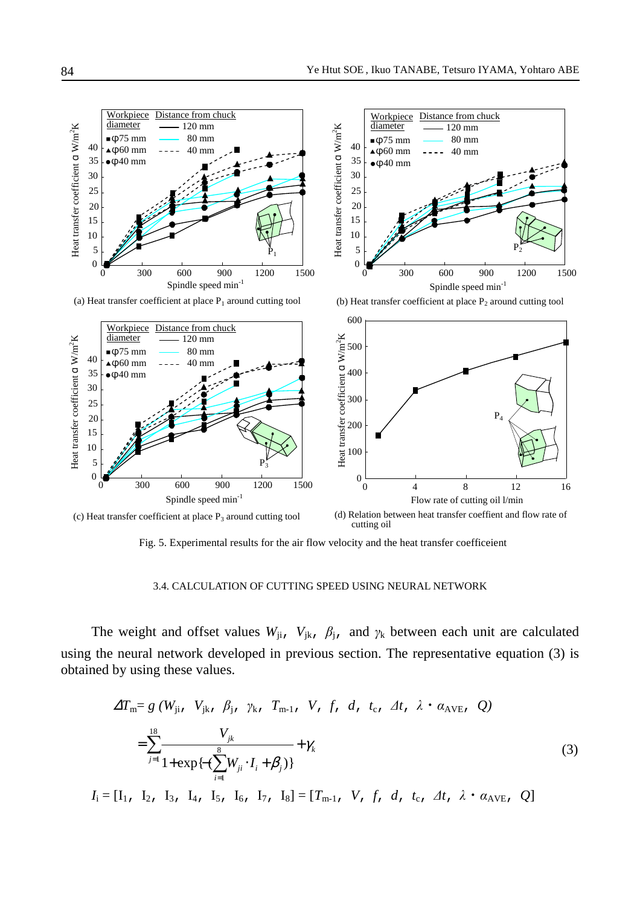

Fig. 5. Experimental results for the air flow velocity and the heat transfer coefficeient

### 3.4. CALCULATION OF CUTTING SPEED USING NEURAL NETWORK

The weight and offset values  $W_{ji}$ ,  $V_{jk}$ ,  $\beta_{j}$ , and  $\gamma_k$  between each unit are calculated using the neural network developed in previous section. The representative equation (3) is obtained by using these values.

$$
\Delta T_{\text{m}} = g \left( W_{\text{j}i}, \ V_{\text{j}k}, \ \beta_{\text{j}}, \ \gamma_{\text{k}}, \ T_{\text{m-1}}, \ V, \ f, \ d, \ t_{\text{c}}, \ \Delta t, \ \lambda \cdot \alpha_{\text{AVE}}, \ Q \right)
$$

$$
= \sum_{j=1}^{18} \frac{V_{jk}}{1 + \exp\{-(\sum_{i=1}^{8} W_{ji} \cdot I_i + \beta_j)\}} + \gamma_k \tag{3}
$$

 $I_i = [I_1, I_2, I_3, I_4, I_5, I_6, I_7, I_8] = [T_{m-1}, V, f, d, t_c, \Delta t, \lambda \cdot \alpha_{AVE}, Q]$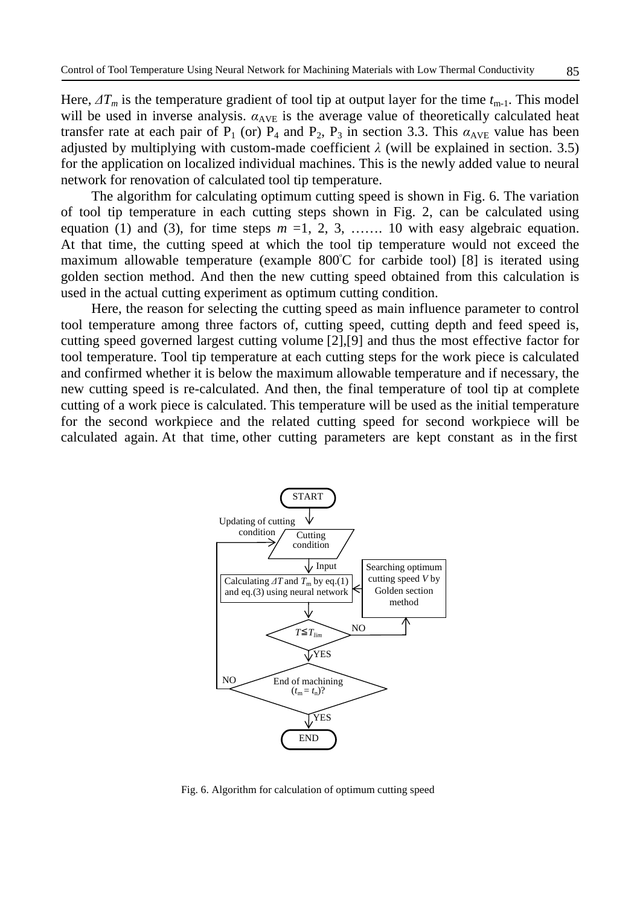Here,  $\Delta T_m$  is the temperature gradient of tool tip at output layer for the time  $t_{m-1}$ . This model will be used in inverse analysis.  $\alpha_{AVE}$  is the average value of theoretically calculated heat transfer rate at each pair of  $P_1$  (or)  $P_4$  and  $P_2$ ,  $P_3$  in section 3.3. This  $\alpha_{AVE}$  value has been adjusted by multiplying with custom-made coefficient  $\lambda$  (will be explained in section. 3.5) for the application on localized individual machines. This is the newly added value to neural network for renovation of calculated tool tip temperature.

The algorithm for calculating optimum cutting speed is shown in Fig. 6. The variation of tool tip temperature in each cutting steps shown in Fig. 2, can be calculated using equation (1) and (3), for time steps  $m = 1, 2, 3, \dots$  10 with easy algebraic equation. At that time, the cutting speed at which the tool tip temperature would not exceed the maximum allowable temperature (example 800°C for carbide tool) [8] is iterated using golden section method. And then the new cutting speed obtained from this calculation is used in the actual cutting experiment as optimum cutting condition.

Here, the reason for selecting the cutting speed as main influence parameter to control tool temperature among three factors of, cutting speed, cutting depth and feed speed is, cutting speed governed largest cutting volume [2],[9] and thus the most effective factor for tool temperature. Tool tip temperature at each cutting steps for the work piece is calculated and confirmed whether it is below the maximum allowable temperature and if necessary, the new cutting speed is re-calculated. And then, the final temperature of tool tip at complete cutting of a work piece is calculated. This temperature will be used as the initial temperature for the second workpiece and the related cutting speed for second workpiece will be calculated again. At that time, other cutting parameters are kept constant as in the first



Fig. 6. Algorithm for calculation of optimum cutting speed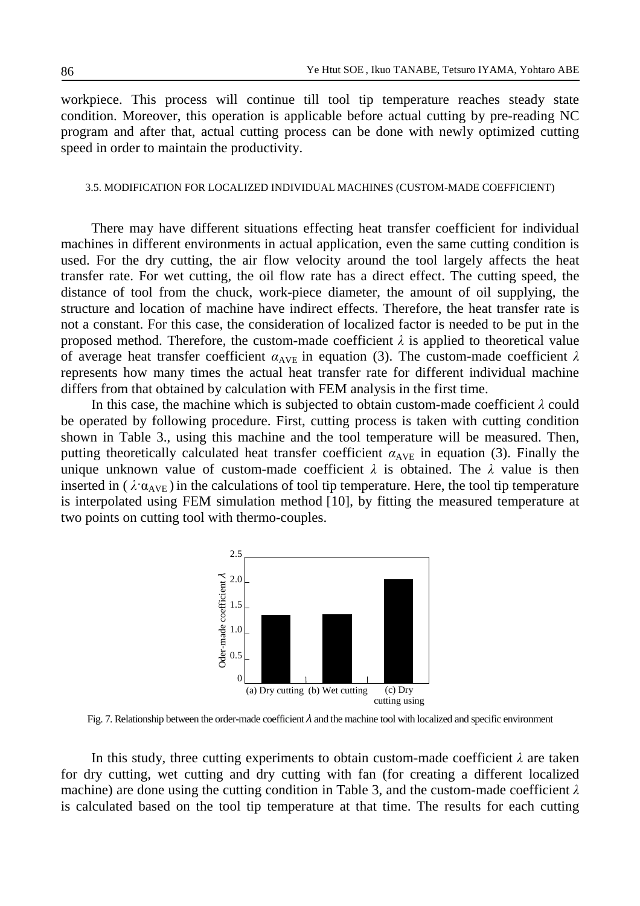workpiece. This process will continue till tool tip temperature reaches steady state condition. Moreover, this operation is applicable before actual cutting by pre-reading NC program and after that, actual cutting process can be done with newly optimized cutting speed in order to maintain the productivity.

### 3.5. MODIFICATION FOR LOCALIZED INDIVIDUAL MACHINES (CUSTOM-MADE COEFFICIENT)

There may have different situations effecting heat transfer coefficient for individual machines in different environments in actual application, even the same cutting condition is used. For the dry cutting, the air flow velocity around the tool largely affects the heat transfer rate. For wet cutting, the oil flow rate has a direct effect. The cutting speed, the distance of tool from the chuck, work-piece diameter, the amount of oil supplying, the structure and location of machine have indirect effects. Therefore, the heat transfer rate is not a constant. For this case, the consideration of localized factor is needed to be put in the proposed method. Therefore, the custom-made coefficient  $\lambda$  is applied to theoretical value of average heat transfer coefficient  $\alpha_{AVE}$  in equation (3). The custom-made coefficient  $\lambda$ represents how many times the actual heat transfer rate for different individual machine differs from that obtained by calculation with FEM analysis in the first time.

In this case, the machine which is subjected to obtain custom-made coefficient  $\lambda$  could be operated by following procedure. First, cutting process is taken with cutting condition shown in Table 3., using this machine and the tool temperature will be measured. Then, putting theoretically calculated heat transfer coefficient  $\alpha_{AVE}$  in equation (3). Finally the unique unknown value of custom-made coefficient  $\lambda$  is obtained. The  $\lambda$  value is then inserted in ( $\lambda \alpha_{AVE}$ ) in the calculations of tool tip temperature. Here, the tool tip temperature is interpolated using FEM simulation method [10], by fitting the measured temperature at two points on cutting tool with thermo-couples.



Fig. 7. Relationship between the order-made coefficient  $\lambda$  and the machine tool with localized and specific environment

In this study, three cutting experiments to obtain custom-made coefficient  $\lambda$  are taken for dry cutting, wet cutting and dry cutting with fan (for creating a different localized machine) are done using the cutting condition in Table 3, and the custom-made coefficient  $\lambda$ is calculated based on the tool tip temperature at that time. The results for each cutting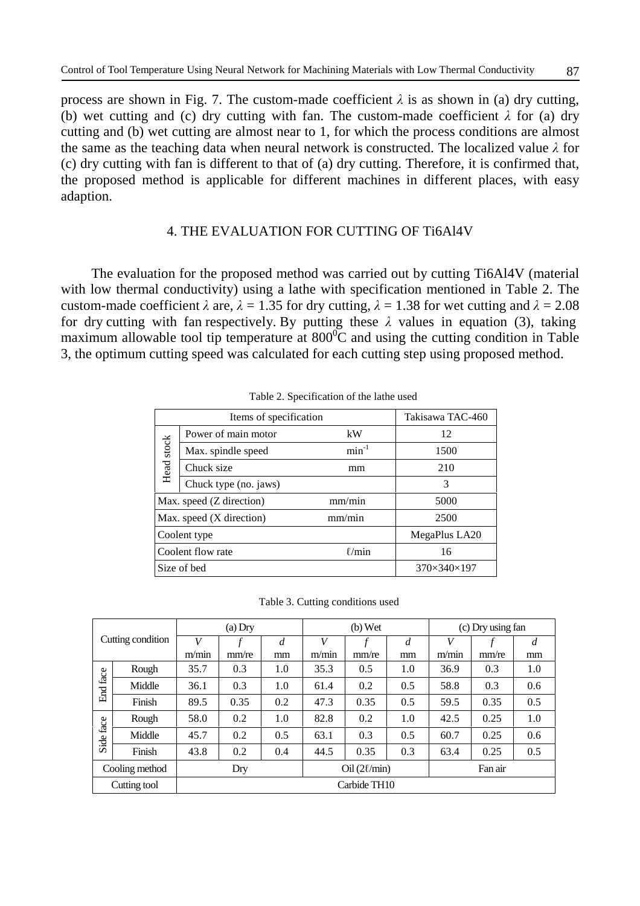process are shown in Fig. 7. The custom-made coefficient  $\lambda$  is as shown in (a) dry cutting, (b) wet cutting and (c) dry cutting with fan. The custom-made coefficient  $\lambda$  for (a) dry cutting and (b) wet cutting are almost near to 1, for which the process conditions are almost the same as the teaching data when neural network is constructed. The localized value  $\lambda$  for (c) dry cutting with fan is different to that of (a) dry cutting. Therefore, it is confirmed that, the proposed method is applicable for different machines in different places, with easy adaption.

# 4. THE EVALUATION FOR CUTTING OF Ti6Al4V

The evaluation for the proposed method was carried out by cutting Ti6Al4V (material with low thermal conductivity) using a lathe with specification mentioned in Table 2. The custom-made coefficient  $\lambda$  are,  $\lambda = 1.35$  for dry cutting,  $\lambda = 1.38$  for wet cutting and  $\lambda = 2.08$ for dry cutting with fan respectively. By putting these λvalues in equation (3), taking maximum allowable tool tip temperature at  $800^{\circ}$ C and using the cutting condition in Table 3, the optimum cutting speed was calculated for each cutting step using proposed method.

|            | Items of specification   | Takisawa TAC-460        |      |  |  |
|------------|--------------------------|-------------------------|------|--|--|
| Head stock | Power of main motor      | kW                      | 12   |  |  |
|            | Max. spindle speed       | $min^{-1}$              | 1500 |  |  |
|            | Chuck size               | mm                      | 210  |  |  |
|            | Chuck type (no. jaws)    | 3                       |      |  |  |
|            | Max. speed (Z direction) | 5000                    |      |  |  |
|            | Max. speed (X direction) | 2500                    |      |  |  |
|            | Coolent type             | MegaPlus LA20           |      |  |  |
|            | Coolent flow rate        | 16                      |      |  |  |
|            | Size of bed              | $370\times340\times197$ |      |  |  |

Table 2. Specification of the lathe used

|  | Table 3. Cutting conditions used |  |
|--|----------------------------------|--|
|  |                                  |  |

| Cutting condition |        | $(a)$ Dry                           |       |                | $(b)$ Wet |       |     | (c) Dry using fan |       |                |
|-------------------|--------|-------------------------------------|-------|----------------|-----------|-------|-----|-------------------|-------|----------------|
|                   |        | V                                   |       | $\overline{d}$ | V         |       | d   | V                 |       | $\overline{d}$ |
|                   |        | m/min                               | mm/re | mm             | m/min     | mm/re | mm  | m/min             | mm/re | mm             |
| End face          | Rough  | 35.7                                | 0.3   | 1.0            | 35.3      | 0.5   | 1.0 | 36.9              | 0.3   | 1.0            |
|                   | Middle | 36.1                                | 0.3   | 1.0            | 61.4      | 0.2   | 0.5 | 58.8              | 0.3   | 0.6            |
|                   | Finish | 89.5                                | 0.35  | 0.2            | 47.3      | 0.35  | 0.5 | 59.5              | 0.35  | 0.5            |
| Side face         | Rough  | 58.0                                | 0.2   | 1.0            | 82.8      | 0.2   | 1.0 | 42.5              | 0.25  | 1.0            |
|                   | Middle | 45.7                                | 0.2   | 0.5            | 63.1      | 0.3   | 0.5 | 60.7              | 0.25  | 0.6            |
|                   | Finish | 43.8                                | 0.2   | 0.4            | 44.5      | 0.35  | 0.3 | 63.4              | 0.25  | 0.5            |
| Cooling method    |        | Oil $(2\ell/min)$<br>Fan air<br>Dry |       |                |           |       |     |                   |       |                |
| Cutting tool      |        | Carbide TH10                        |       |                |           |       |     |                   |       |                |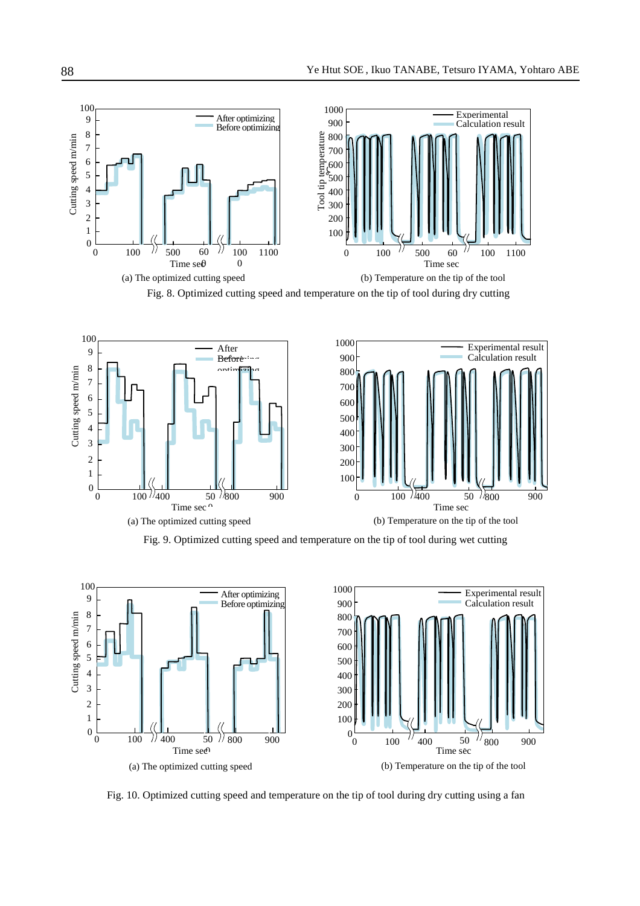

Fig. 8. Optimized cutting speed and temperature on the tip of tool during dry cutting



Fig. 9. Optimized cutting speed and temperature on the tip of tool during wet cutting



Fig. 10. Optimized cutting speed and temperature on the tip of tool during dry cutting using a fan